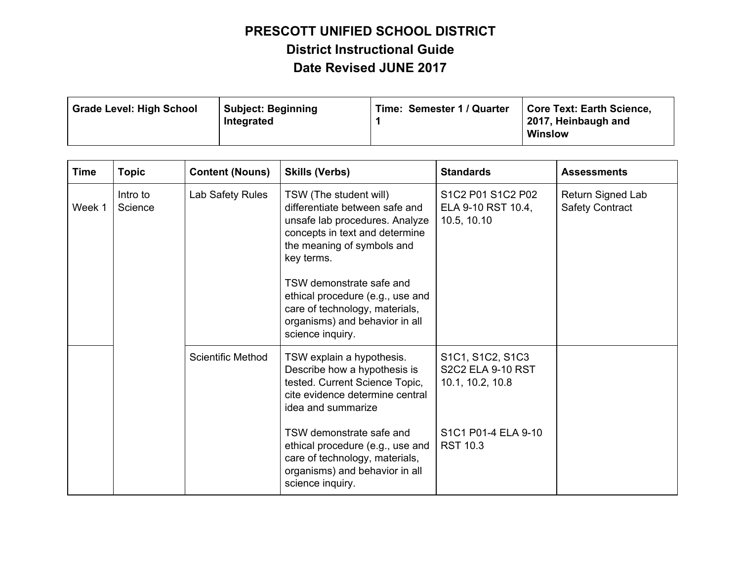| <b>Grade Level: High School</b> | <b>Subject: Beginning</b><br>Integrated | Time: Semester 1 / Quarter | Core Text: Earth Science,<br>2017, Heinbaugh and<br><b>Winslow</b> |
|---------------------------------|-----------------------------------------|----------------------------|--------------------------------------------------------------------|
|                                 |                                         |                            |                                                                    |

| <b>Time</b> | <b>Topic</b>        | <b>Content (Nouns)</b>   | <b>Skills (Verbs)</b>                                                                                                                                                                                                                                                                                                            | <b>Standards</b>                                                 | <b>Assessments</b>                          |
|-------------|---------------------|--------------------------|----------------------------------------------------------------------------------------------------------------------------------------------------------------------------------------------------------------------------------------------------------------------------------------------------------------------------------|------------------------------------------------------------------|---------------------------------------------|
| Week 1      | Intro to<br>Science | Lab Safety Rules         | TSW (The student will)<br>differentiate between safe and<br>unsafe lab procedures. Analyze<br>concepts in text and determine<br>the meaning of symbols and<br>key terms.<br>TSW demonstrate safe and<br>ethical procedure (e.g., use and<br>care of technology, materials,<br>organisms) and behavior in all<br>science inquiry. | S1C2 P01 S1C2 P02<br>ELA 9-10 RST 10.4,<br>10.5, 10.10           | Return Signed Lab<br><b>Safety Contract</b> |
|             |                     | <b>Scientific Method</b> | TSW explain a hypothesis.<br>Describe how a hypothesis is<br>tested. Current Science Topic,<br>cite evidence determine central<br>idea and summarize                                                                                                                                                                             | S1C1, S1C2, S1C3<br><b>S2C2 ELA 9-10 RST</b><br>10.1, 10.2, 10.8 |                                             |
|             |                     |                          | TSW demonstrate safe and<br>ethical procedure (e.g., use and<br>care of technology, materials,<br>organisms) and behavior in all<br>science inquiry.                                                                                                                                                                             | S1C1 P01-4 ELA 9-10<br><b>RST 10.3</b>                           |                                             |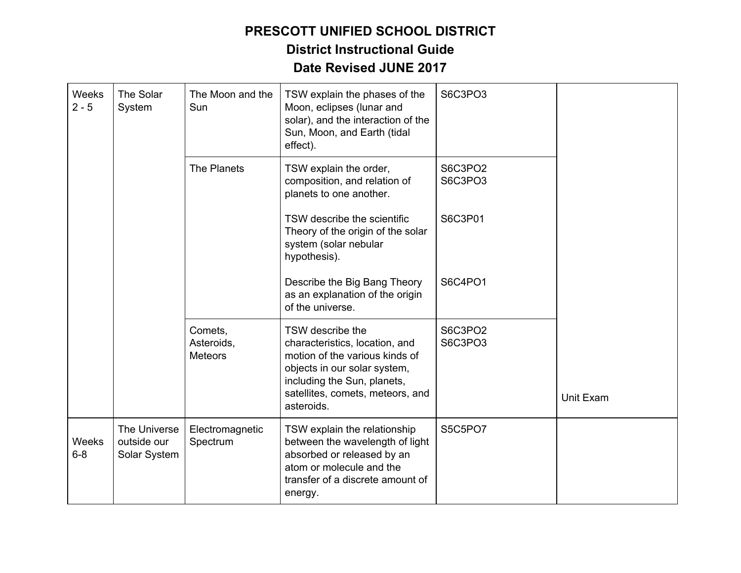| Weeks<br>$2 - 5$        | The Solar<br>System                         | The Moon and the<br>Sun                 | TSW explain the phases of the<br>Moon, eclipses (lunar and<br>solar), and the interaction of the<br>Sun, Moon, and Earth (tidal<br>effect).                                                           | S6C3PO3            |           |
|-------------------------|---------------------------------------------|-----------------------------------------|-------------------------------------------------------------------------------------------------------------------------------------------------------------------------------------------------------|--------------------|-----------|
|                         |                                             | The Planets                             | TSW explain the order,<br>composition, and relation of<br>planets to one another.                                                                                                                     | S6C3PO2<br>S6C3PO3 |           |
|                         |                                             |                                         | TSW describe the scientific<br>Theory of the origin of the solar<br>system (solar nebular<br>hypothesis).                                                                                             | S6C3P01            |           |
|                         |                                             |                                         | Describe the Big Bang Theory<br>as an explanation of the origin<br>of the universe.                                                                                                                   | S6C4PO1            |           |
|                         |                                             | Comets,<br>Asteroids,<br><b>Meteors</b> | TSW describe the<br>characteristics, location, and<br>motion of the various kinds of<br>objects in our solar system,<br>including the Sun, planets,<br>satellites, comets, meteors, and<br>asteroids. | S6C3PO2<br>S6C3PO3 | Unit Exam |
| <b>Weeks</b><br>$6 - 8$ | The Universe<br>outside our<br>Solar System | Electromagnetic<br>Spectrum             | TSW explain the relationship<br>between the wavelength of light<br>absorbed or released by an<br>atom or molecule and the<br>transfer of a discrete amount of<br>energy.                              | S5C5PO7            |           |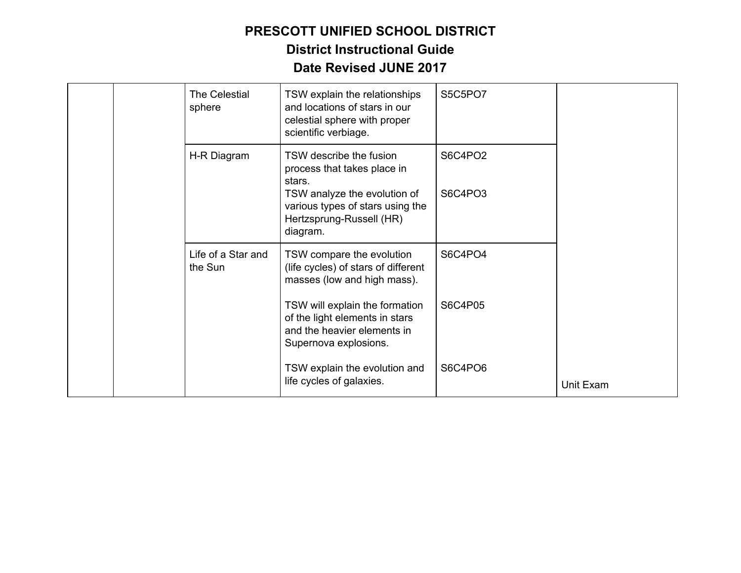|  | The Celestial<br>sphere       | TSW explain the relationships<br>and locations of stars in our<br>celestial sphere with proper<br>scientific verbiage.                                           | S5C5PO7            |           |
|--|-------------------------------|------------------------------------------------------------------------------------------------------------------------------------------------------------------|--------------------|-----------|
|  | H-R Diagram                   | TSW describe the fusion<br>process that takes place in<br>stars.<br>TSW analyze the evolution of<br>various types of stars using the<br>Hertzsprung-Russell (HR) | S6C4PO2<br>S6C4PO3 |           |
|  |                               | diagram.                                                                                                                                                         |                    |           |
|  | Life of a Star and<br>the Sun | TSW compare the evolution<br>(life cycles) of stars of different<br>masses (low and high mass).                                                                  | S6C4PO4            |           |
|  |                               | TSW will explain the formation<br>of the light elements in stars<br>and the heavier elements in<br>Supernova explosions.                                         | S6C4P05            |           |
|  |                               | TSW explain the evolution and<br>life cycles of galaxies.                                                                                                        | S6C4PO6            | Unit Exam |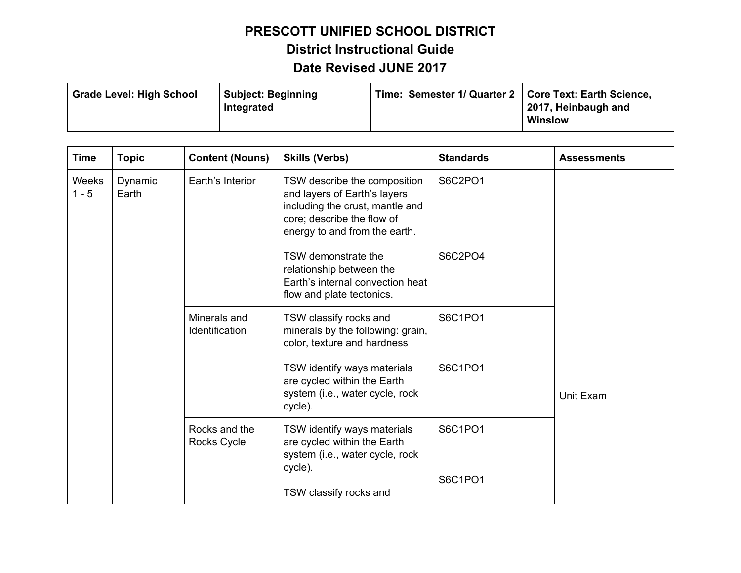| <b>Grade Level: High School</b> | Subject: Beginning<br>Integrated | Time: Semester 1/ Quarter 2   Core Text: Earth Science, | 2017, Heinbaugh and |
|---------------------------------|----------------------------------|---------------------------------------------------------|---------------------|
|                                 |                                  |                                                         | <b>Winslow</b>      |

| <b>Time</b>             | <b>Topic</b>     | <b>Content (Nouns)</b>                                                                                                                                                                   | <b>Skills (Verbs)</b>                                                                                                                                          | <b>Standards</b> | <b>Assessments</b>                                                                                       |         |           |
|-------------------------|------------------|------------------------------------------------------------------------------------------------------------------------------------------------------------------------------------------|----------------------------------------------------------------------------------------------------------------------------------------------------------------|------------------|----------------------------------------------------------------------------------------------------------|---------|-----------|
| <b>Weeks</b><br>$1 - 5$ | Dynamic<br>Earth | Earth's Interior                                                                                                                                                                         | TSW describe the composition<br>and layers of Earth's layers<br>including the crust, mantle and<br>core; describe the flow of<br>energy to and from the earth. | S6C2PO1          |                                                                                                          |         |           |
|                         |                  |                                                                                                                                                                                          | TSW demonstrate the<br>relationship between the<br>Earth's internal convection heat<br>flow and plate tectonics.                                               | S6C2PO4          |                                                                                                          |         |           |
|                         |                  | Minerals and<br>Identification                                                                                                                                                           | TSW classify rocks and<br>minerals by the following: grain,<br>color, texture and hardness                                                                     | S6C1PO1          |                                                                                                          |         |           |
|                         |                  |                                                                                                                                                                                          |                                                                                                                                                                |                  | TSW identify ways materials<br>are cycled within the Earth<br>system (i.e., water cycle, rock<br>cycle). | S6C1PO1 | Unit Exam |
|                         |                  | Rocks and the<br>TSW identify ways materials<br>S6C1PO1<br>are cycled within the Earth<br>Rocks Cycle<br>system (i.e., water cycle, rock<br>cycle).<br>S6C1PO1<br>TSW classify rocks and |                                                                                                                                                                |                  |                                                                                                          |         |           |
|                         |                  |                                                                                                                                                                                          |                                                                                                                                                                |                  |                                                                                                          |         |           |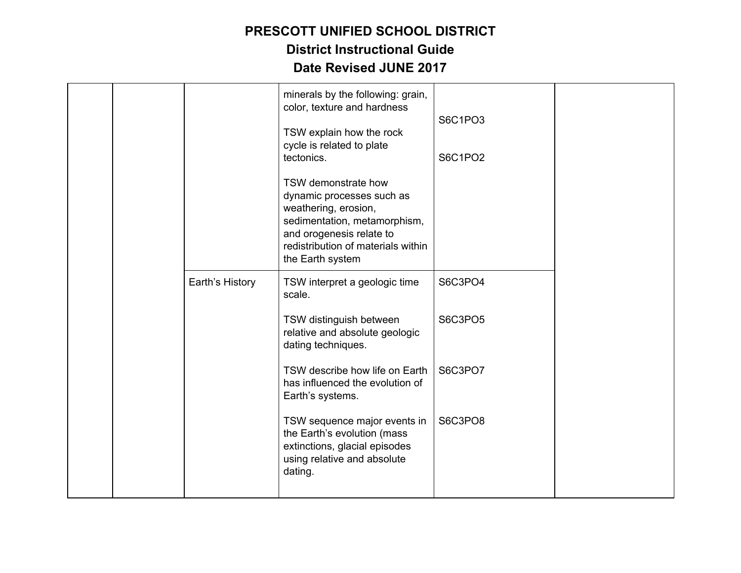|  |                 | minerals by the following: grain,<br>color, texture and hardness<br>TSW explain how the rock<br>cycle is related to plate<br>tectonics.<br>TSW demonstrate how<br>dynamic processes such as<br>weathering, erosion,<br>sedimentation, metamorphism,<br>and orogenesis relate to<br>redistribution of materials within<br>the Earth system | S6C1PO3<br>S6C1PO2 |  |
|--|-----------------|-------------------------------------------------------------------------------------------------------------------------------------------------------------------------------------------------------------------------------------------------------------------------------------------------------------------------------------------|--------------------|--|
|  | Earth's History | TSW interpret a geologic time<br>scale.                                                                                                                                                                                                                                                                                                   | S6C3PO4            |  |
|  |                 | TSW distinguish between<br>relative and absolute geologic<br>dating techniques.                                                                                                                                                                                                                                                           | S6C3PO5            |  |
|  |                 | TSW describe how life on Earth<br>has influenced the evolution of<br>Earth's systems.                                                                                                                                                                                                                                                     | S6C3PO7            |  |
|  |                 | TSW sequence major events in<br>the Earth's evolution (mass<br>extinctions, glacial episodes<br>using relative and absolute<br>dating.                                                                                                                                                                                                    | S6C3PO8            |  |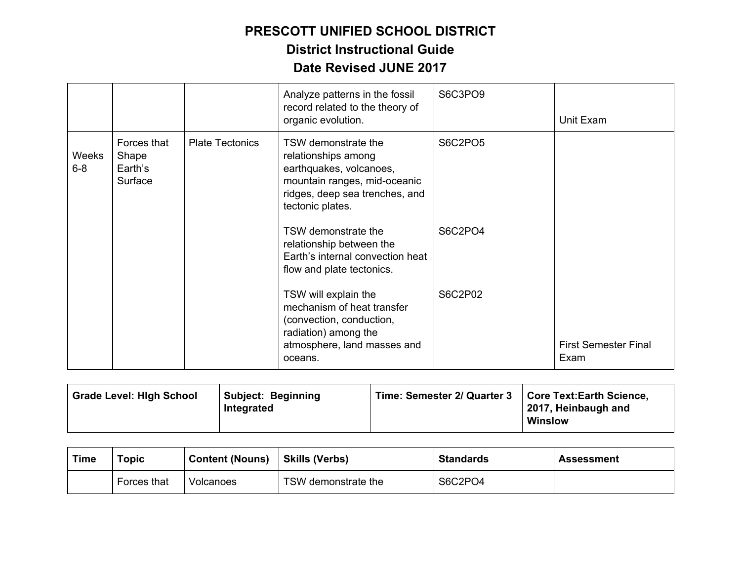|                  |                                            |                        | Analyze patterns in the fossil<br>record related to the theory of<br>organic evolution.                                                                     | S6C3PO9 | Unit Exam                           |
|------------------|--------------------------------------------|------------------------|-------------------------------------------------------------------------------------------------------------------------------------------------------------|---------|-------------------------------------|
| Weeks<br>$6 - 8$ | Forces that<br>Shape<br>Earth's<br>Surface | <b>Plate Tectonics</b> | TSW demonstrate the<br>relationships among<br>earthquakes, volcanoes,<br>mountain ranges, mid-oceanic<br>ridges, deep sea trenches, and<br>tectonic plates. | S6C2PO5 |                                     |
|                  |                                            |                        | TSW demonstrate the<br>relationship between the<br>Earth's internal convection heat<br>flow and plate tectonics.                                            | S6C2PO4 |                                     |
|                  |                                            |                        | TSW will explain the<br>mechanism of heat transfer<br>(convection, conduction,<br>radiation) among the<br>atmosphere, land masses and<br>oceans.            | S6C2P02 | <b>First Semester Final</b><br>Exam |

| <b>Grade Level: High School</b> | <b>Subject: Beginning</b><br>Integrated | Time: Semester 2/ Quarter 3 | <b>Core Text:Earth Science,</b><br>2017, Heinbaugh and<br><b>Winslow</b> |
|---------------------------------|-----------------------------------------|-----------------------------|--------------------------------------------------------------------------|
|                                 |                                         |                             |                                                                          |

| Time | <b>Topic</b> | <b>Content (Nouns)</b> | <b>Skills (Verbs)</b> | <b>Standards</b> | Assessment |
|------|--------------|------------------------|-----------------------|------------------|------------|
|      | Forces that  | Volcanoes              | TSW demonstrate the   | S6C2PO4          |            |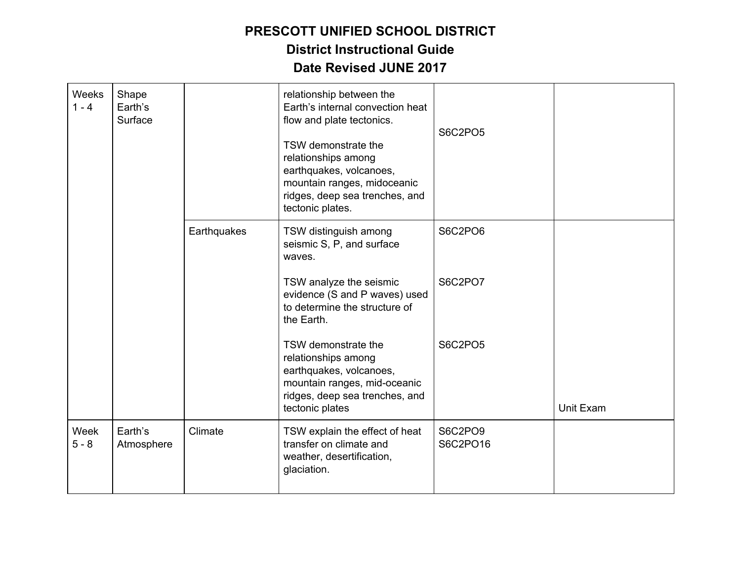| Weeks<br>$1 - 4$ | Shape<br>Earth's<br>Surface |             | relationship between the<br>Earth's internal convection heat<br>flow and plate tectonics.<br>TSW demonstrate the<br>relationships among<br>earthquakes, volcanoes,<br>mountain ranges, midoceanic<br>ridges, deep sea trenches, and<br>tectonic plates. | S6C2PO5             |           |
|------------------|-----------------------------|-------------|---------------------------------------------------------------------------------------------------------------------------------------------------------------------------------------------------------------------------------------------------------|---------------------|-----------|
|                  |                             | Earthquakes | TSW distinguish among<br>seismic S, P, and surface<br>waves.                                                                                                                                                                                            | S6C2PO6             |           |
|                  |                             |             | TSW analyze the seismic<br>evidence (S and P waves) used<br>to determine the structure of<br>the Earth.                                                                                                                                                 | S6C2PO7             |           |
|                  |                             |             | TSW demonstrate the<br>relationships among<br>earthquakes, volcanoes,<br>mountain ranges, mid-oceanic<br>ridges, deep sea trenches, and<br>tectonic plates                                                                                              | S6C2PO5             | Unit Exam |
| Week<br>$5 - 8$  | Earth's<br>Atmosphere       | Climate     | TSW explain the effect of heat<br>transfer on climate and<br>weather, desertification,<br>glaciation.                                                                                                                                                   | S6C2PO9<br>S6C2PO16 |           |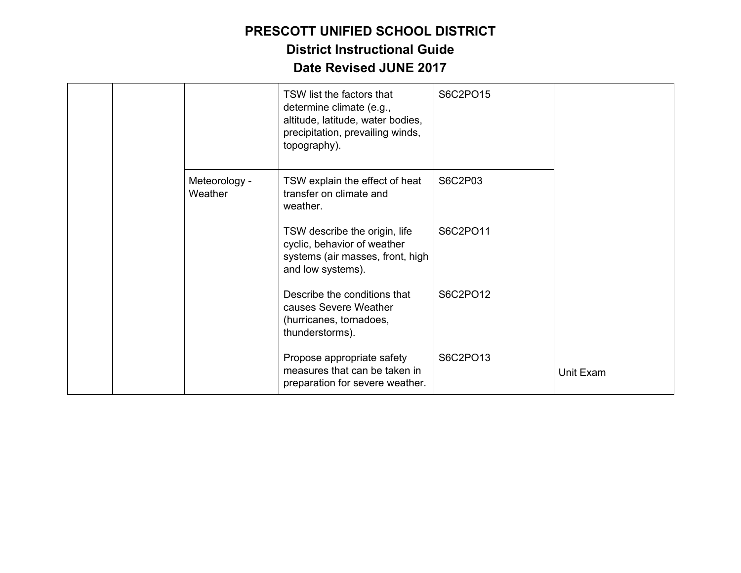|  |                          | TSW list the factors that<br>determine climate (e.g.,<br>altitude, latitude, water bodies,<br>precipitation, prevailing winds,<br>topography). | S6C2PO15 |           |
|--|--------------------------|------------------------------------------------------------------------------------------------------------------------------------------------|----------|-----------|
|  | Meteorology -<br>Weather | TSW explain the effect of heat<br>transfer on climate and<br>weather.                                                                          | S6C2P03  |           |
|  |                          | TSW describe the origin, life<br>cyclic, behavior of weather<br>systems (air masses, front, high<br>and low systems).                          | S6C2PO11 |           |
|  |                          | Describe the conditions that<br>causes Severe Weather<br>(hurricanes, tornadoes,<br>thunderstorms).                                            | S6C2PO12 |           |
|  |                          | Propose appropriate safety<br>measures that can be taken in<br>preparation for severe weather.                                                 | S6C2PO13 | Unit Exam |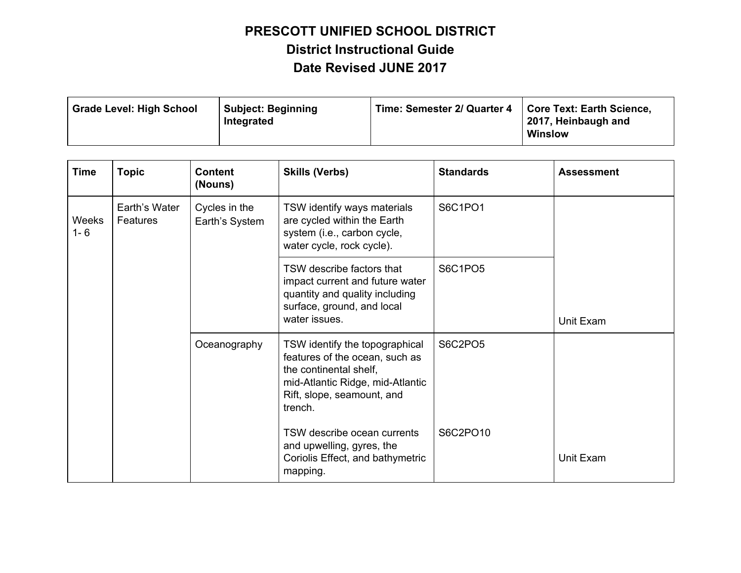| <b>Grade Level: High School</b> | <b>Subject: Beginning</b><br>Integrated | Time: Semester 2/ Quarter 4   Core Text: Earth Science, | 2017, Heinbaugh and<br><b>Winslow</b> |
|---------------------------------|-----------------------------------------|---------------------------------------------------------|---------------------------------------|
|---------------------------------|-----------------------------------------|---------------------------------------------------------|---------------------------------------|

| <b>Time</b>      | <b>Topic</b>              | <b>Content</b><br>(Nouns)       | <b>Skills (Verbs)</b>                                                                                                                                                   | <b>Standards</b> | <b>Assessment</b> |
|------------------|---------------------------|---------------------------------|-------------------------------------------------------------------------------------------------------------------------------------------------------------------------|------------------|-------------------|
| Weeks<br>$1 - 6$ | Earth's Water<br>Features | Cycles in the<br>Earth's System | TSW identify ways materials<br>are cycled within the Earth<br>system (i.e., carbon cycle,<br>water cycle, rock cycle).                                                  | S6C1PO1          | Unit Exam         |
|                  |                           |                                 | TSW describe factors that<br>impact current and future water<br>quantity and quality including<br>surface, ground, and local<br>water issues.                           | S6C1PO5          |                   |
|                  |                           | Oceanography                    | TSW identify the topographical<br>features of the ocean, such as<br>the continental shelf,<br>mid-Atlantic Ridge, mid-Atlantic<br>Rift, slope, seamount, and<br>trench. | S6C2PO5          |                   |
|                  |                           |                                 | TSW describe ocean currents<br>and upwelling, gyres, the<br>Coriolis Effect, and bathymetric<br>mapping.                                                                | S6C2PO10         | Unit Exam         |